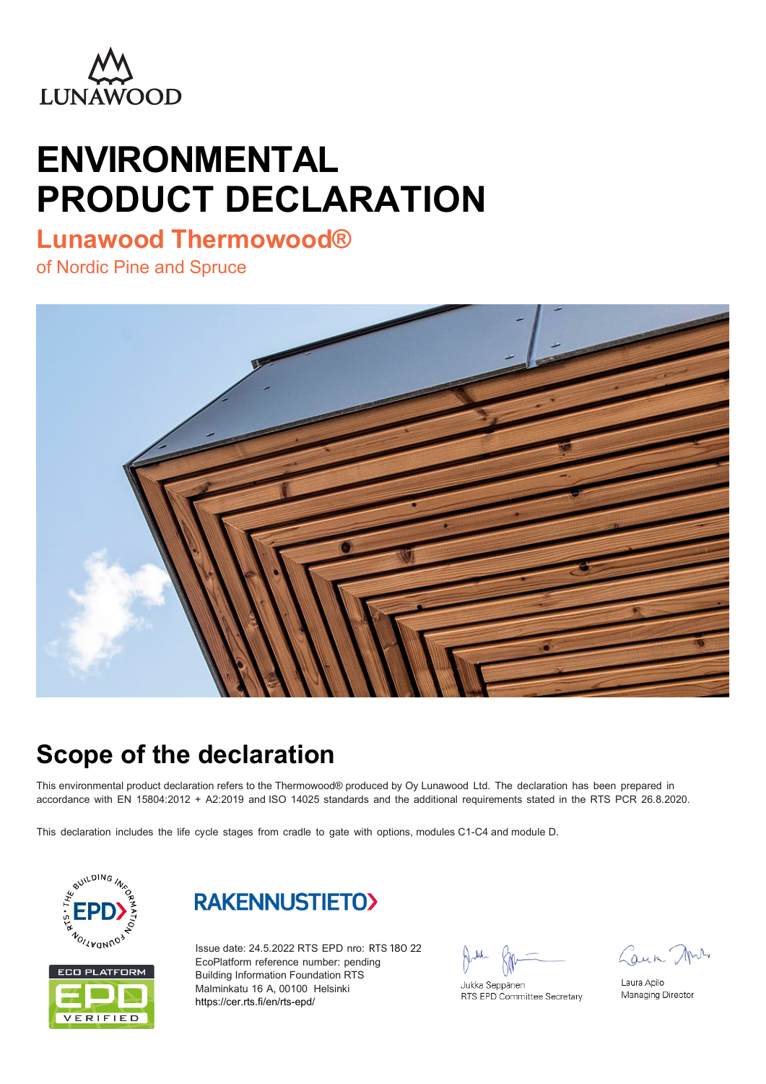

# **ENVIRONMENTAL PRODUCT DECLARATION**

### **Lunawood Thermowood®**

of Nordic Pine and Spruce



### **Scope of the declaration**

This environmental product declaration refers to the Thermowood® produced by Oy Lunawood Ltd. The declaration has been prepared in accordance with EN 15804:2012 + A2:2019 and ISO 14025 standards and the additional requirements stated in the RTS PCR 26.8.2020.

This declaration includes the life cycle stages from cradle to gate with options, modules C1-C4 and module D.







Issue date: 24.5.2022 RTS EPD nro: RTS 180 22 EcoPlatform reference number: pending Building Information Foundation RTS Malminkatu 16 A, 00100 Helsinki https://cer.rts.fi/en/rts-epd/

Jukka Seppänen RTS EPD Committee Secretary

Laun Mrs

Laura Apilo Managing Director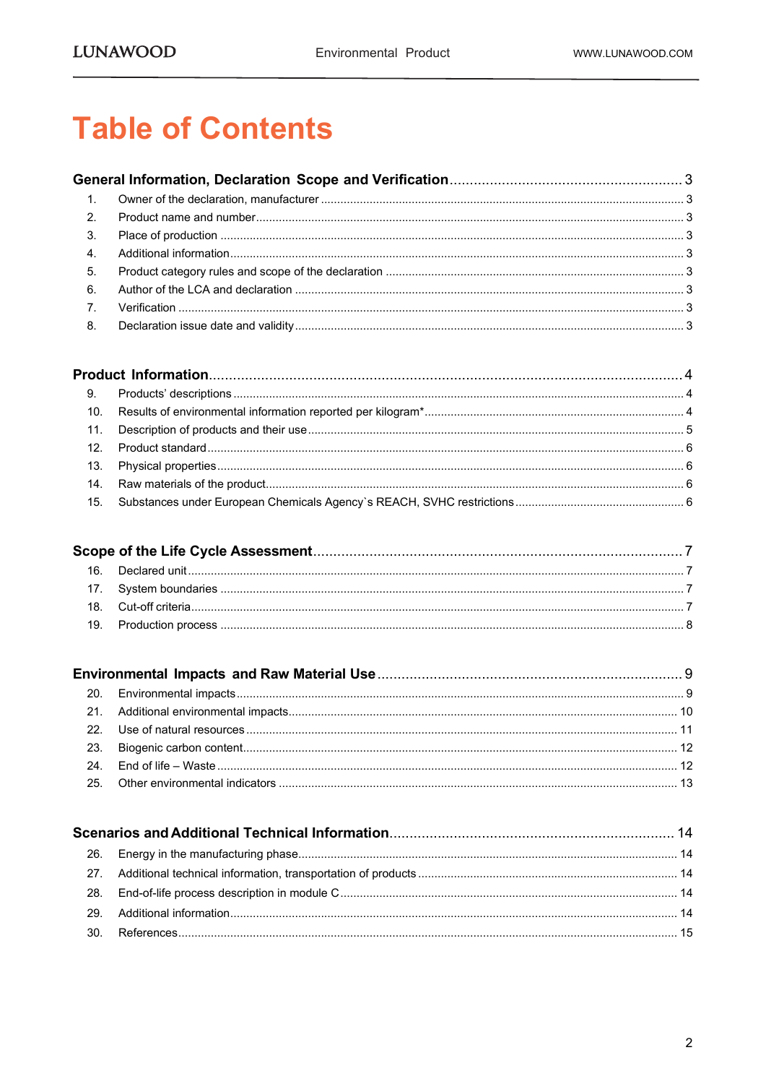## **Table of Contents**

| $\overline{1}$ . |  |
|------------------|--|
| 2.               |  |
| 3.               |  |
| $\overline{4}$ . |  |
| 5.               |  |
| 6.               |  |
| $\overline{7}$ . |  |
| 8.               |  |

| 9. |  |
|----|--|
|    |  |
|    |  |
|    |  |
|    |  |
|    |  |
|    |  |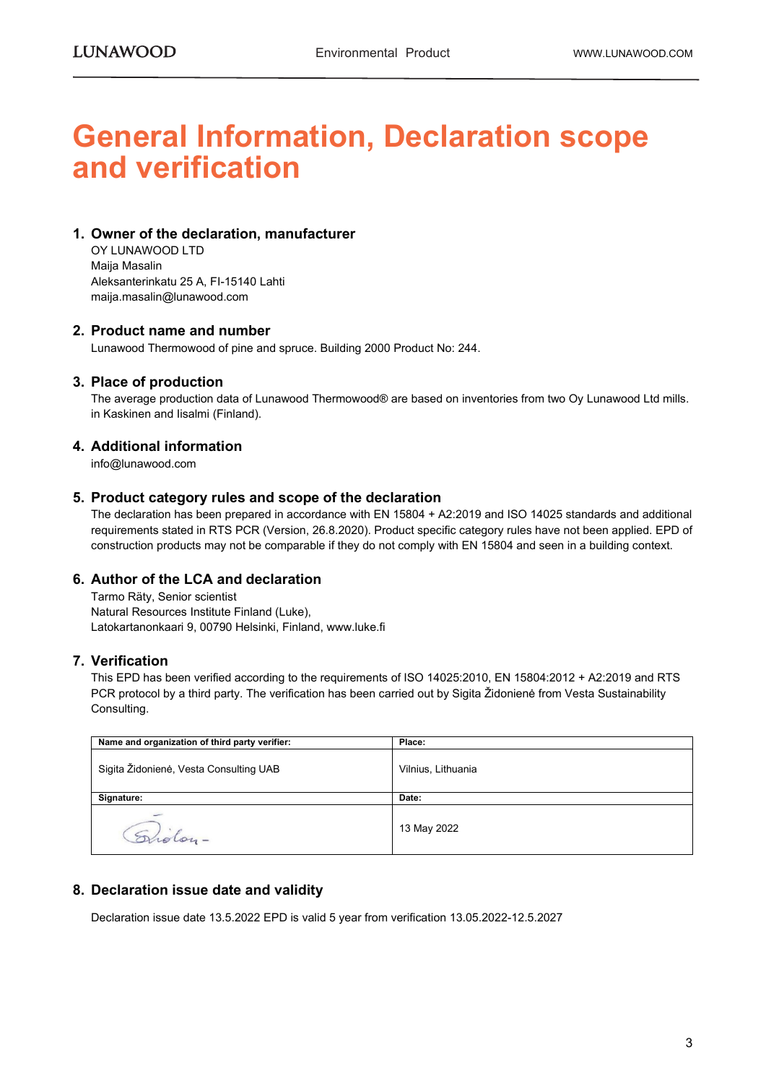### **General Information, Declaration scope and verification**

#### **1. Owner of the declaration, manufacturer**

OY LUNAWOOD LTD Maija Masalin Aleksanterinkatu 25 A, FI-15140 Lahti maija.masalin@lunawood.com

#### **2. Product name and number**

Lunawood Thermowood of pine and spruce. Building 2000 Product No: 244.

#### **3. Place of production**

The average production data of Lunawood Thermowood® are based on inventories from two Oy Lunawood Ltd mills. in Kaskinen and Iisalmi (Finland).

#### **4. Additional information**

info@lunawood.com

#### **5. Product category rules and scope of the declaration**

The declaration has been prepared in accordance with EN 15804 + A2:2019 and ISO 14025 standards and additional requirements stated in RTS PCR (Version, 26.8.2020). Product specific category rules have not been applied. EPD of construction products may not be comparable if they do not comply with EN 15804 and seen in a building context.

#### **6. Author of the LCA and declaration**

Tarmo Räty, Senior scientist Natural Resources Institute Finland (Luke), Latokartanonkaari 9, 00790 Helsinki, Finland, www.luke.fi

#### **7. Verification**

This EPD has been verified according to the requirements of ISO 14025:2010, EN 15804:2012 + A2:2019 and RTS PCR protocol by a third party. The verification has been carried out by Sigita Židonienė from Vesta Sustainability Consulting.

| Name and organization of third party verifier: | Place:             |
|------------------------------------------------|--------------------|
| Sigita Židonienė, Vesta Consulting UAB         | Vilnius, Lithuania |
| Signature:                                     | Date:              |
| Grölon-                                        | 13 May 2022        |

#### **8. Declaration issue date and validity**

Declaration issue date 13.5.2022 EPD is valid 5 year from verification 13.05.2022-12.5.2027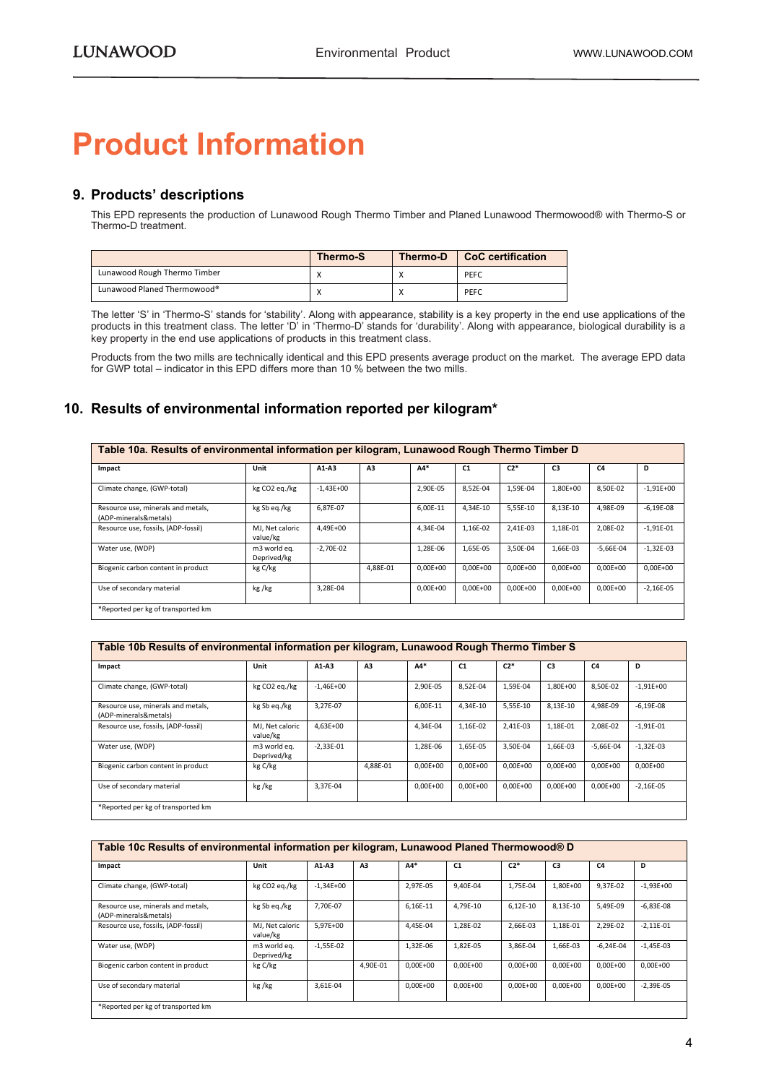## <span id="page-3-0"></span>**Product Information**

#### <span id="page-3-1"></span>**9. Products' descriptions**

This EPD represents the production of Lunawood Rough Thermo Timber and Planed Lunawood Thermowood® with Thermo-S or Thermo-D treatment.

|                              | <b>Thermo-S</b> | Thermo-D | CoC certification |
|------------------------------|-----------------|----------|-------------------|
| Lunawood Rough Thermo Timber |                 |          | PEFC              |
| Lunawood Planed Thermowood®  | $\lambda$       |          | PEFC              |

The letter 'S' in 'Thermo-S' stands for 'stability'. Along with appearance, stability is a key property in the end use applications of the products in this treatment class. The letter 'D' in 'Thermo-D' stands for 'durability'. Along with appearance, biological durability is a key property in the end use applications of products in this treatment class.

Products from the two mills are technically identical and this EPD presents average product on the market. The average EPD data for GWP total – indicator in this EPD differs more than 10 % between the two mills.

#### <span id="page-3-2"></span>**10. Results of environmental information reported per kilogram\***

| Table 10a. Results of environmental information per kilogram, Lunawood Rough Thermo Timber D |                             |               |                |              |                |              |              |                |             |  |
|----------------------------------------------------------------------------------------------|-----------------------------|---------------|----------------|--------------|----------------|--------------|--------------|----------------|-------------|--|
| Impact                                                                                       | Unit                        | $A1-A3$       | A <sub>3</sub> | $AA*$        | C <sub>1</sub> | $C2*$        | C3           | C <sub>4</sub> | D           |  |
| Climate change, (GWP-total)                                                                  | kg CO2 eq./kg               | $-1.43E + 00$ |                | 2.90E-05     | 8.52E-04       | 1,59E-04     | 1.80E+00     | 8.50E-02       | $-1,91E+00$ |  |
| Resource use, minerals and metals,<br>(ADP-minerals&metals)                                  | kg Sb eg./kg                | 6,87E-07      |                | 6.00E-11     | 4.34E-10       | 5.55E-10     | 8,13E-10     | 4,98E-09       | $-6,19E-08$ |  |
| Resource use, fossils, (ADP-fossil)                                                          | MJ. Net caloric<br>value/kg | $4.49E + 00$  |                | 4.34E-04     | 1.16E-02       | 2,41E-03     | 1.18E-01     | 2,08E-02       | $-1,91E-01$ |  |
| Water use. (WDP)                                                                             | m3 world eq.<br>Deprived/kg | $-2.70E - 02$ |                | 1.28E-06     | 1,65E-05       | 3.50E-04     | 1.66E-03     | $-5.66E - 04$  | $-1,32E-03$ |  |
| Biogenic carbon content in product                                                           | kg C/kg                     |               | 4.88E-01       | $0.00E + 00$ | $0.00E + 00$   | $0.00E + 00$ | $0.00E + 00$ | $0.00E + 00$   | $0,00E+00$  |  |
| Use of secondary material                                                                    | kg/kg                       | 3,28E-04      |                | $0.00E + 00$ | $0.00E + 00$   | $0.00E + 00$ | $0.00E + 00$ | $0.00E + 00$   | $-2,16E-05$ |  |
| *Reported per kg of transported km                                                           |                             |               |                |              |                |              |              |                |             |  |

| Table 10b Results of environmental information per kilogram, Lunawood Rough Thermo Timber S |                             |               |          |              |                |              |                |              |               |  |
|---------------------------------------------------------------------------------------------|-----------------------------|---------------|----------|--------------|----------------|--------------|----------------|--------------|---------------|--|
| Impact                                                                                      | Unit                        | A1-A3         | A3       | A4*          | C <sub>1</sub> | $C2*$        | C <sub>3</sub> | C4           | D             |  |
| Climate change, (GWP-total)                                                                 | kg CO2 eq./kg               | $-1,46E+00$   |          | 2,90E-05     | 8,52E-04       | 1,59E-04     | 1,80E+00       | 8,50E-02     | $-1.91E+00$   |  |
| Resource use, minerals and metals,<br>(ADP-minerals&metals)                                 | kg Sb eq./kg                | 3.27E-07      |          | 6,00E-11     | 4.34E-10       | 5.55E-10     | 8.13E-10       | 4.98E-09     | $-6.19E-08$   |  |
| Resource use, fossils, (ADP-fossil)                                                         | MJ, Net caloric<br>value/kg | 4,63E+00      |          | 4.34E-04     | 1,16E-02       | 2,41E-03     | 1,18E-01       | 2.08E-02     | $-1,91E-01$   |  |
| Water use, (WDP)                                                                            | m3 world eq.<br>Deprived/kg | $-2.33E - 01$ |          | 1.28E-06     | 1.65E-05       | 3,50E-04     | 1.66E-03       | $-5.66E-04$  | $-1.32E-03$   |  |
| Biogenic carbon content in product                                                          | kg C/kg                     |               | 4.88E-01 | $0.00E + 00$ | $0.00E + 00$   | $0.00E + 00$ | $0.00E + 00$   | $0.00E + 00$ | $0.00E + 00$  |  |
| Use of secondary material                                                                   | kg/kg                       | 3.37E-04      |          | $0.00E + 00$ | $0.00E + 00$   | $0.00E + 00$ | $0.00E + 00$   | $0.00E + 00$ | $-2.16E - 05$ |  |
| *Reported per kg of transported km                                                          |                             |               |          |              |                |              |                |              |               |  |

| Table 10c Results of environmental information per kilogram, Lunawood Planed Thermowood® D |                             |             |          |              |                |              |              |               |              |  |
|--------------------------------------------------------------------------------------------|-----------------------------|-------------|----------|--------------|----------------|--------------|--------------|---------------|--------------|--|
| Impact                                                                                     | Unit                        | A1-A3       | A3       | $AA*$        | C <sub>1</sub> | $C2*$        | C3           | C4            | D            |  |
| Climate change, (GWP-total)                                                                | kg CO2 eq./kg               | $-1,34E+00$ |          | 2,97E-05     | 9,40E-04       | 1,75E-04     | 1,80E+00     | 9,37E-02      | $-1,93E+00$  |  |
| Resource use, minerals and metals,<br>(ADP-minerals&metals)                                | kg Sb eq./kg                | 7.70E-07    |          | 6,16E-11     | 4,79E-10       | $6,12E-10$   | 8,13E-10     | 5,49E-09      | $-6,83E-08$  |  |
| Resource use, fossils, (ADP-fossil)                                                        | MJ, Net caloric<br>value/kg | 5,97E+00    |          | 4,45E-04     | 1,28E-02       | 2,66E-03     | 1,18E-01     | 2,29E-02      | $-2,11E-01$  |  |
| Water use, (WDP)                                                                           | m3 world eq.<br>Deprived/kg | $-1,55E-02$ |          | 1,32E-06     | 1,82E-05       | 3,86E-04     | 1,66E-03     | $-6.24E - 04$ | $-1,45E-03$  |  |
| Biogenic carbon content in product                                                         | kg C/kg                     |             | 4.90E-01 | $0.00E + 00$ | $0.00E + 00$   | $0.00E + 00$ | $0.00E + 00$ | $0.00E + 00$  | $0.00E + 00$ |  |
| Use of secondary material                                                                  | kg/kg                       | 3,61E-04    |          | $0,00E+00$   | $0,00E+00$     | $0,00E+00$   | $0,00E+00$   | $0,00E+00$    | $-2,39E-05$  |  |
| *Reported per kg of transported km                                                         |                             |             |          |              |                |              |              |               |              |  |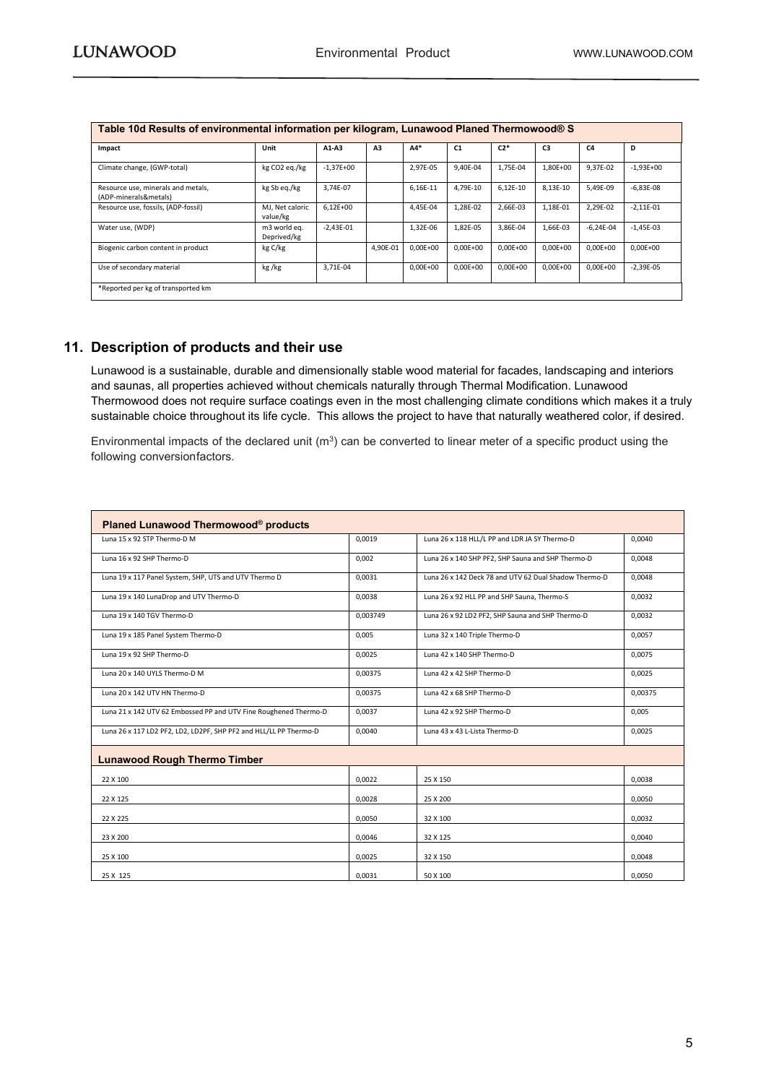| <b>TUDIO TWO INSURISTING CONTRACTMENT INTERNATION INTO A REPORT INTO A THEFT OF A REPORT IN A REPORT OF A REPORT OF A REPORT OF A REPORT OF A REPORT OF A REPORT OF A REPORT OF A REPORT OF A REPORT OF A REPORT OF A REPORT OF</b> |                             |               |          |              |              |              |                |              |               |
|-------------------------------------------------------------------------------------------------------------------------------------------------------------------------------------------------------------------------------------|-----------------------------|---------------|----------|--------------|--------------|--------------|----------------|--------------|---------------|
| Impact                                                                                                                                                                                                                              | Unit                        | $A1-A3$       | A3       | $AA*$        | C1           | $C2*$        | C <sub>3</sub> | C4           | D             |
| Climate change, (GWP-total)                                                                                                                                                                                                         | kg CO2 eq./kg               | $-1.37E + 00$ |          | 2.97E-05     | 9.40E-04     | 1,75E-04     | 1.80E+00       | 9.37E-02     | $-1.93E + 00$ |
| Resource use, minerals and metals,<br>(ADP-minerals&metals)                                                                                                                                                                         | kg Sb eq./kg                | 3,74E-07      |          | 6,16E-11     | 4.79E-10     | $6,12E-10$   | 8,13E-10       | 5.49E-09     | $-6,83E-08$   |
| Resource use, fossils, (ADP-fossil)                                                                                                                                                                                                 | MJ, Net caloric<br>value/kg | $6,12E+00$    |          | 4.45E-04     | 1.28E-02     | 2,66E-03     | 1,18E-01       | 2,29E-02     | $-2,11E-01$   |
| Water use, (WDP)                                                                                                                                                                                                                    | m3 world eq.<br>Deprived/kg | $-2.43E - 01$ |          | 1.32E-06     | 1.82E-05     | 3,86E-04     | 1.66E-03       | $-6,24E-04$  | $-1.45E-03$   |
| Biogenic carbon content in product                                                                                                                                                                                                  | kg C/kg                     |               | 4.90E-01 | $0.00E + 00$ | $0.00E + 00$ | $0.00E + 00$ | $0.00E + 00$   | $0.00E + 00$ | $0.00E + 00$  |
| Use of secondary material                                                                                                                                                                                                           | kg/kg                       | 3,71E-04      |          | $0,00E+00$   | $0.00E + 00$ | $0.00E + 00$ | $0.00E + 00$   | $0.00E + 00$ | $-2.39E - 05$ |
| *Reported per kg of transported km                                                                                                                                                                                                  |                             |               |          |              |              |              |                |              |               |

#### **Table 10d Results of environmental information per kilogram, Lunawood Planed Thermowood® S**

#### <span id="page-4-0"></span>**11. Description of products and their use**

**Moisture Density at u=5% Thickness mm Width** and saunas, all properties achieved without chemicals naturally through Thermal Modification. Lunawood Lunawood is a sustainable, durable and dimensionally stable wood material for facades, landscaping and interiors Thermowood does not require surface coatings even in the most challenging climate conditions which makes it a truly sustainable choice throughout its life cycle. This allows the project to have that naturally weathered color, if desired.

Environmental impacts of the declared unit  $(m^3)$  can be converted to linear meter of a specific product using the following conversionfactors.

| Planed Lunawood Thermowood® products                              |          |                                                       |         |
|-------------------------------------------------------------------|----------|-------------------------------------------------------|---------|
| Luna 15 x 92 STP Thermo-D M                                       | 0,0019   | Luna 26 x 118 HLL/L PP and LDR JA SY Thermo-D         | 0,0040  |
| Luna 16 x 92 SHP Thermo-D                                         | 0.002    | Luna 26 x 140 SHP PF2, SHP Sauna and SHP Thermo-D     | 0.0048  |
| Luna 19 x 117 Panel System, SHP, UTS and UTV Thermo D             | 0,0031   | Luna 26 x 142 Deck 78 and UTV 62 Dual Shadow Thermo-D | 0,0048  |
| Luna 19 x 140 LunaDrop and UTV Thermo-D                           | 0.0038   | Luna 26 x 92 HLL PP and SHP Sauna, Thermo-S           | 0.0032  |
| Luna 19 x 140 TGV Thermo-D                                        | 0,003749 | Luna 26 x 92 LD2 PF2, SHP Sauna and SHP Thermo-D      | 0,0032  |
| Luna 19 x 185 Panel System Thermo-D                               | 0.005    | Luna 32 x 140 Triple Thermo-D                         | 0.0057  |
| Luna 19 x 92 SHP Thermo-D                                         | 0,0025   | Luna 42 x 140 SHP Thermo-D                            | 0,0075  |
| Luna 20 x 140 UYLS Thermo-D M                                     | 0,00375  | Luna 42 x 42 SHP Thermo-D                             | 0,0025  |
| Luna 20 x 142 UTV HN Thermo-D                                     | 0,00375  | Luna 42 x 68 SHP Thermo-D                             | 0,00375 |
| Luna 21 x 142 UTV 62 Embossed PP and UTV Fine Roughened Thermo-D  | 0,0037   | Luna 42 x 92 SHP Thermo-D                             | 0,005   |
| Luna 26 x 117 LD2 PF2, LD2, LD2PF, SHP PF2 and HLL/LL PP Thermo-D | 0,0040   | Luna 43 x 43 L-Lista Thermo-D                         | 0,0025  |
| <b>Lunawood Rough Thermo Timber</b>                               |          |                                                       |         |
| 22 X 100                                                          | 0.0022   | 25 X 150                                              | 0.0038  |
| 22 X 125                                                          | 0.0028   | 25 X 200                                              | 0,0050  |
| 22 X 225                                                          | 0,0050   | 32 X 100                                              | 0,0032  |
| 23 X 200                                                          | 0,0046   | 32 X 125                                              | 0,0040  |
| 25 X 100                                                          | 0.0025   | 32 X 150                                              | 0.0048  |
| 25 X 125                                                          | 0,0031   | 50 X 100                                              | 0.0050  |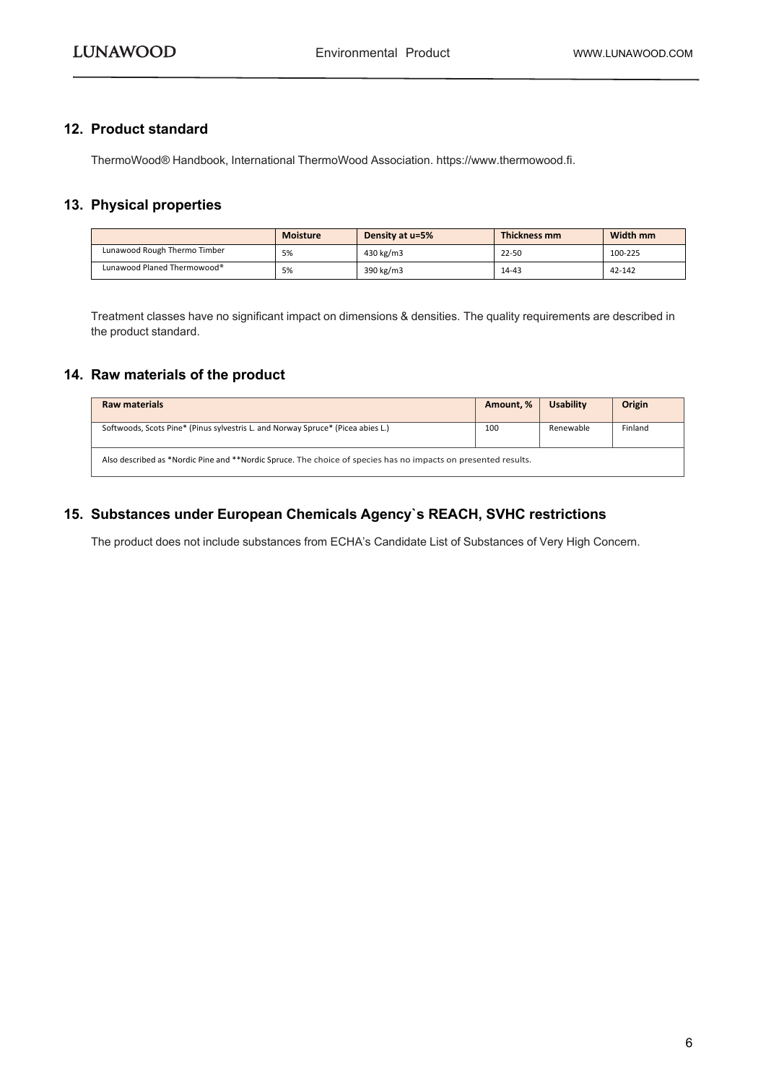#### <span id="page-5-0"></span>**12. Product standard**

ThermoWood® Handbook, International ThermoWood Association. https://www.thermowood.fi.

#### <span id="page-5-1"></span>**13. Physical properties**

|                              | <b>Moisture</b> | Density at u=5% | Thickness mm | Width mm |
|------------------------------|-----------------|-----------------|--------------|----------|
| Lunawood Rough Thermo Timber | 5%              | 430 kg/m3       | $22 - 50$    | 100-225  |
| Lunawood Planed Thermowood®  | 5%              | 390 kg/m3       | $14 - 43$    | 42-142   |

Treatment classes have no significant impact on dimensions & densities. The quality requirements are described in the product standard.

#### <span id="page-5-2"></span>**14. Raw materials of the product**

| <b>Raw materials</b>                                                                                           | Amount, % | <b>Usability</b> | Origin  |
|----------------------------------------------------------------------------------------------------------------|-----------|------------------|---------|
| Softwoods, Scots Pine* (Pinus sylvestris L. and Norway Spruce* (Picea abies L.)                                | 100       | Renewable        | Finland |
| Also described as *Nordic Pine and **Nordic Spruce. The choice of species has no impacts on presented results. |           |                  |         |

#### <span id="page-5-3"></span>**15. Substances under European Chemicals Agency`s REACH, SVHC restrictions**

The product does not include substances from ECHA's Candidate List of Substances of Very High Concern.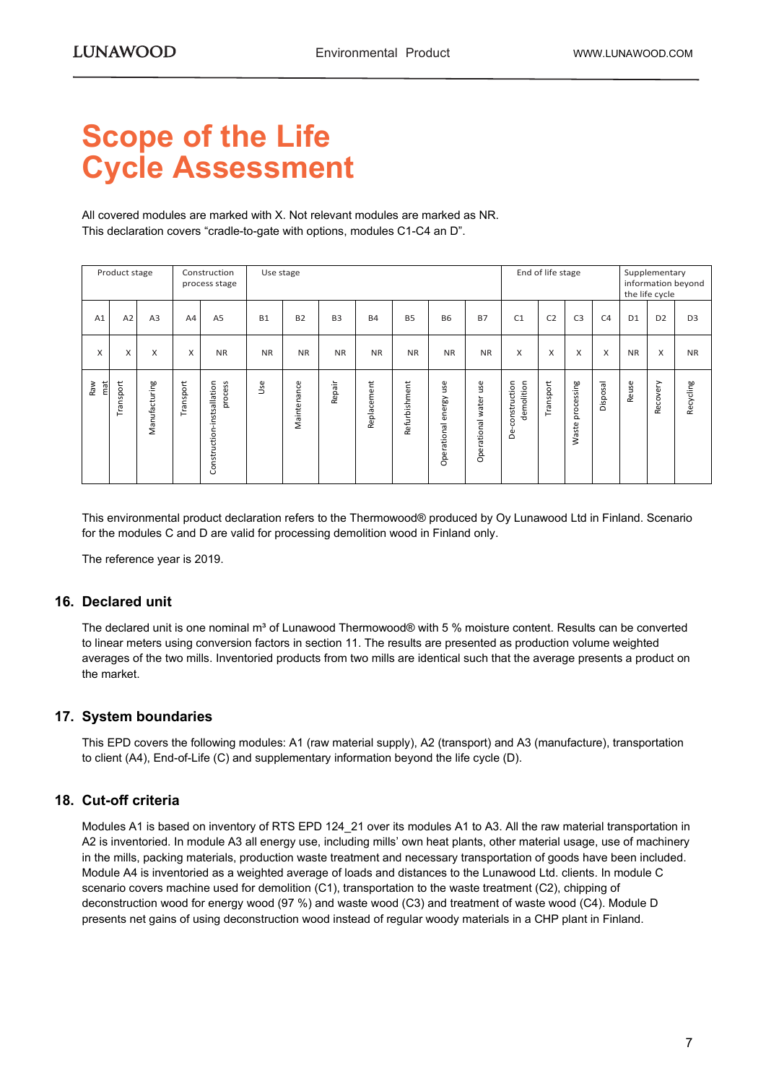## <span id="page-6-0"></span>**Scope of the Life Cycle Assessment**

All covered modules are marked with X. Not relevant modules are marked as NR. This declaration covers "cradle-to-gate with options, modules C1-C4 an D".

|            | Product stage |                |           | Construction<br>process stage         | Use stage |             |                |             |               |                              |                          |                                     | End of life stage |                     |                |                | Supplementary<br>the life cycle | information beyond |
|------------|---------------|----------------|-----------|---------------------------------------|-----------|-------------|----------------|-------------|---------------|------------------------------|--------------------------|-------------------------------------|-------------------|---------------------|----------------|----------------|---------------------------------|--------------------|
| A1         | A2            | A <sub>3</sub> | A4        | A <sub>5</sub>                        | <b>B1</b> | <b>B2</b>   | B <sub>3</sub> | <b>B4</b>   | <b>B5</b>     | <b>B6</b>                    | <b>B7</b>                | C <sub>1</sub>                      | C <sub>2</sub>    | C <sub>3</sub>      | C <sub>4</sub> | D <sub>1</sub> | D <sub>2</sub>                  | D <sub>3</sub>     |
| X          | X             | X              | X         | <b>NR</b>                             | <b>NR</b> | <b>NR</b>   | <b>NR</b>      | <b>NR</b>   | <b>NR</b>     | <b>NR</b>                    | <b>NR</b>                | X                                   | X                 | X                   | X              | <b>NR</b>      | X                               | <b>NR</b>          |
| mat<br>Raw | Transport     | Manufacturing  | Transport | Construction-instsallation<br>process | Use       | Maintenance | Repair         | Replacement | Refurbishment | use<br>energy<br>Operational | use<br>Operational water | construction<br>demolition<br>لِّهِ | Transport         | processing<br>Waste | Disposal       | Reuse          | Recovery                        | Recycling          |

This environmental product declaration refers to the Thermowood® produced by Oy Lunawood Ltd in Finland. Scenario for the modules C and D are valid for processing demolition wood in Finland only.

The reference year is 2019.

#### **16. Declared unit**

The declared unit is one nominal m<sup>3</sup> of Lunawood Thermowood® with 5 % moisture content. Results can be converted to linear meters using conversion factors in section 11. The results are presented as production volume weighted averages of the two mills. Inventoried products from two mills are identical such that the average presents a product on the market.

#### **17. System boundaries**

This EPD covers the following modules: A1 (raw material supply), A2 (transport) and A3 (manufacture), transportation to client (A4), End-of-Life (C) and supplementary information beyond the life cycle (D).

#### **18. Cut-off criteria**

Modules A1 is based on inventory of RTS EPD 124\_21 over its modules A1 to A3. All the raw material transportation in A2 is inventoried. In module A3 all energy use, including mills' own heat plants, other material usage, use of machinery in the mills, packing materials, production waste treatment and necessary transportation of goods have been included. Module A4 is inventoried as a weighted average of loads and distances to the Lunawood Ltd. clients. In module C scenario covers machine used for demolition (C1), transportation to the waste treatment (C2), chipping of deconstruction wood for energy wood (97 %) and waste wood (C3) and treatment of waste wood (C4). Module D presents net gains of using deconstruction wood instead of regular woody materials in a CHP plant in Finland.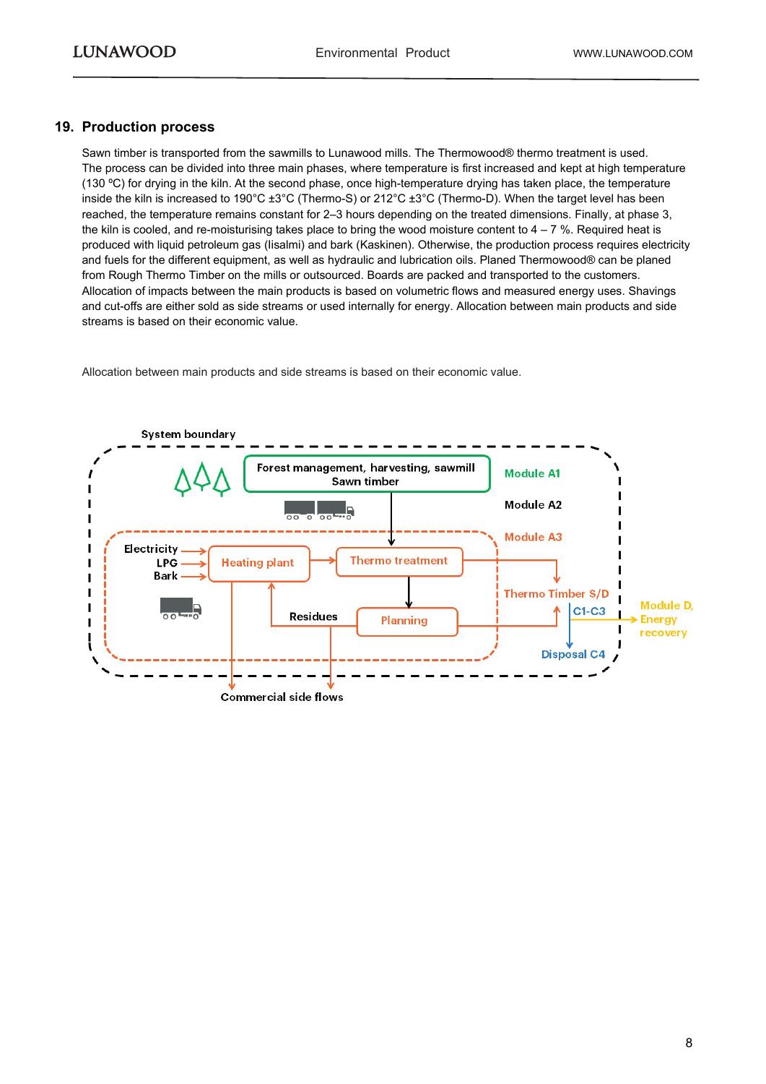#### **19. Production process**

Sawn timber is transported from the sawmills to Lunawood mills. The Thermowood® thermo treatment is used. The process can be divided into three main phases, where temperature is first increased and kept at high temperature (130 ºC) for drying in the kiln. At the second phase, once high-temperature drying has taken place, the temperature inside the kiln is increased to 190°C ±3°C (Thermo-S) or 212°C ±3°C (Thermo-D). When the target level has been reached, the temperature remains constant for 2–3 hours depending on the treated dimensions. Finally, at phase 3, the kiln is cooled, and re-moisturising takes place to bring the wood moisture content to  $4 - 7$  %. Required heat is produced with liquid petroleum gas (Iisalmi) and bark (Kaskinen). Otherwise, the production process requires electricity and fuels for the different equipment, as well as hydraulic and lubrication oils. Planed Thermowood® can be planed from Rough Thermo Timber on the mills or outsourced. Boards are packed and transported to the customers. Allocation of impacts between the main products is based on volumetric flows and measured energy uses. Shavings and cut-offs are either sold as side streams or used internally for energy. Allocation between main products and side streams is based on their economic value.

Allocation between main products and side streams is based on their economic value.

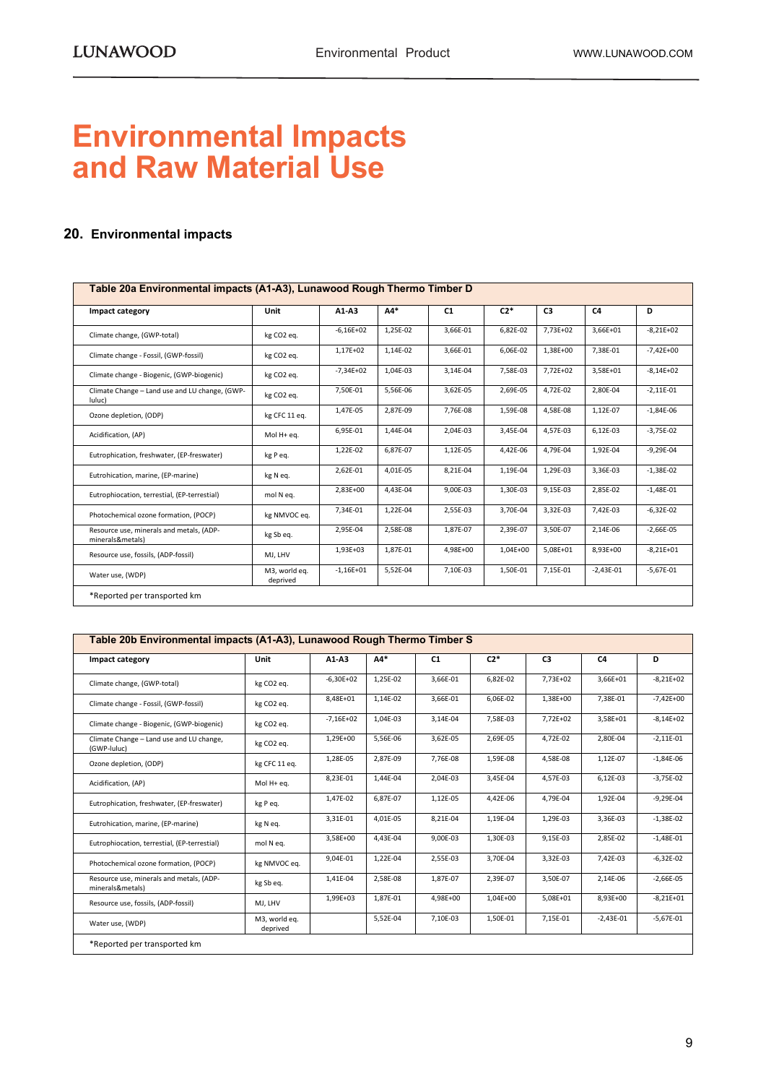### **Environmental Impacts and Raw Material Use**

#### <span id="page-8-0"></span>**20. Environmental impacts**

| Impact category                                              | Unit                      | $A1-A3$     | $A4*$    | C1       | $C2*$    | C3       | C <sub>4</sub> | D           |
|--------------------------------------------------------------|---------------------------|-------------|----------|----------|----------|----------|----------------|-------------|
| Climate change, (GWP-total)                                  | kg CO2 eq.                | $-6,16E+02$ | 1,25E-02 | 3,66E-01 | 6,82E-02 | 7,73E+02 | 3,66E+01       | $-8,21E+02$ |
| Climate change - Fossil, (GWP-fossil)                        | kg CO2 eq.                | 1,17E+02    | 1,14E-02 | 3,66E-01 | 6,06E-02 | 1,38E+00 | 7,38E-01       | $-7,42E+00$ |
| Climate change - Biogenic, (GWP-biogenic)                    | kg CO2 eq.                | $-7,34E+02$ | 1,04E-03 | 3,14E-04 | 7,58E-03 | 7,72E+02 | 3,58E+01       | $-8,14E+02$ |
| Climate Change - Land use and LU change, (GWP-<br>luluc)     | kg CO2 eq.                | 7,50E-01    | 5,56E-06 | 3,62E-05 | 2,69E-05 | 4,72E-02 | 2,80E-04       | $-2,11E-01$ |
| Ozone depletion, (ODP)                                       | kg CFC 11 eq.             | 1,47E-05    | 2,87E-09 | 7,76E-08 | 1,59E-08 | 4,58E-08 | 1,12E-07       | $-1,84E-06$ |
| Acidification, (AP)                                          | Mol H+ eq.                | 6,95E-01    | 1,44E-04 | 2,04E-03 | 3,45E-04 | 4,57E-03 | 6,12E-03       | $-3,75E-02$ |
| Eutrophication, freshwater, (EP-freswater)                   | kg P eq.                  | 1,22E-02    | 6,87E-07 | 1,12E-05 | 4,42E-06 | 4,79E-04 | 1,92E-04       | $-9,29E-04$ |
| Eutrohication, marine, (EP-marine)                           | kg N eq.                  | 2,62E-01    | 4,01E-05 | 8,21E-04 | 1,19E-04 | 1,29E-03 | 3,36E-03       | $-1,38E-02$ |
| Eutrophiocation, terrestial, (EP-terrestial)                 | mol N eq.                 | 2,83E+00    | 4,43E-04 | 9,00E-03 | 1,30E-03 | 9,15E-03 | 2,85E-02       | $-1,48E-01$ |
| Photochemical ozone formation, (POCP)                        | kg NMVOC eq.              | 7,34E-01    | 1,22E-04 | 2,55E-03 | 3,70E-04 | 3,32E-03 | 7,42E-03       | $-6,32E-02$ |
| Resource use, minerals and metals, (ADP-<br>minerals&metals) | kg Sb eq.                 | 2,95E-04    | 2,58E-08 | 1,87E-07 | 2,39E-07 | 3,50E-07 | 2,14E-06       | $-2,66E-05$ |
| Resource use, fossils, (ADP-fossil)                          | MJ, LHV                   | 1,93E+03    | 1,87E-01 | 4,98E+00 | 1,04E+00 | 5,08E+01 | 8,93E+00       | $-8,21E+01$ |
| Water use, (WDP)                                             | M3, world eq.<br>deprived | $-1,16E+01$ | 5,52E-04 | 7,10E-03 | 1,50E-01 | 7,15E-01 | $-2,43E-01$    | $-5,67E-01$ |

| Impact category                                              | Unit                      | $A1-A3$     | $AA*$    | C1       | $C2*$    | C <sub>3</sub> | C <sub>4</sub> | D           |
|--------------------------------------------------------------|---------------------------|-------------|----------|----------|----------|----------------|----------------|-------------|
| Climate change, (GWP-total)                                  | kg CO2 eq.                | $-6,30E+02$ | 1,25E-02 | 3,66E-01 | 6,82E-02 | 7,73E+02       | 3,66E+01       | $-8,21E+02$ |
| Climate change - Fossil, (GWP-fossil)                        | kg CO2 eq.                | 8,48E+01    | 1,14E-02 | 3,66E-01 | 6,06E-02 | 1,38E+00       | 7,38E-01       | $-7,42E+00$ |
| Climate change - Biogenic, (GWP-biogenic)                    | kg CO2 eq.                | $-7,16E+02$ | 1,04E-03 | 3,14E-04 | 7,58E-03 | 7,72E+02       | 3,58E+01       | $-8,14E+02$ |
| Climate Change - Land use and LU change,<br>(GWP-luluc)      | kg CO2 eq.                | 1,29E+00    | 5,56E-06 | 3,62E-05 | 2,69E-05 | 4,72E-02       | 2,80E-04       | $-2,11E-01$ |
| Ozone depletion, (ODP)                                       | kg CFC 11 eq.             | 1,28E-05    | 2,87E-09 | 7,76E-08 | 1,59E-08 | 4,58E-08       | 1,12E-07       | $-1,84E-06$ |
| Acidification, (AP)                                          | Mol H+ eq.                | 8,23E-01    | 1,44E-04 | 2,04E-03 | 3.45E-04 | 4,57E-03       | 6,12E-03       | $-3,75E-02$ |
| Eutrophication, freshwater, (EP-freswater)                   | kg P eq.                  | 1,47E-02    | 6,87E-07 | 1,12E-05 | 4,42E-06 | 4,79E-04       | 1,92E-04       | $-9,29E-04$ |
| Eutrohication, marine, (EP-marine)                           | kg N eq.                  | 3,31E-01    | 4,01E-05 | 8,21E-04 | 1,19E-04 | 1,29E-03       | 3,36E-03       | $-1,38E-02$ |
| Eutrophiocation, terrestial, (EP-terrestial)                 | mol N eq.                 | 3,58E+00    | 4,43E-04 | 9,00E-03 | 1,30E-03 | 9,15E-03       | 2,85E-02       | $-1,48E-01$ |
| Photochemical ozone formation, (POCP)                        | kg NMVOC eq.              | 9,04E-01    | 1,22E-04 | 2,55E-03 | 3,70E-04 | 3,32E-03       | 7,42E-03       | $-6,32E-02$ |
| Resource use, minerals and metals, (ADP-<br>minerals&metals) | kg Sb eq.                 | 1,41E-04    | 2,58E-08 | 1,87E-07 | 2,39E-07 | 3,50E-07       | 2,14E-06       | $-2,66E-05$ |
| Resource use, fossils, (ADP-fossil)                          | MJ, LHV                   | 1,99E+03    | 1,87E-01 | 4,98E+00 | 1,04E+00 | 5,08E+01       | 8,93E+00       | $-8,21E+01$ |
| Water use, (WDP)                                             | M3, world eq.<br>deprived |             | 5,52E-04 | 7,10E-03 | 1,50E-01 | 7,15E-01       | $-2,43E-01$    | $-5,67E-01$ |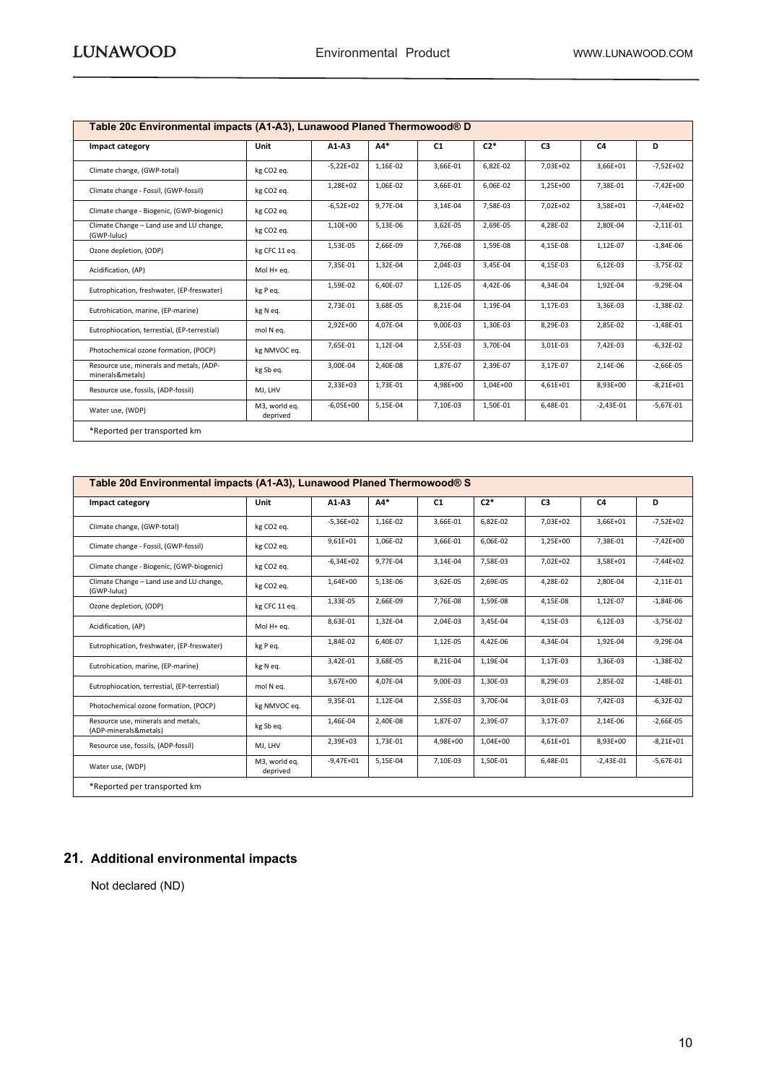| Impact category                                              | Unit                      | $A1-A3$     | $AA*$    | C1       | $C2*$    | C3       | C4          | D           |
|--------------------------------------------------------------|---------------------------|-------------|----------|----------|----------|----------|-------------|-------------|
| Climate change, (GWP-total)                                  | kg CO2 eq.                | $-5,22E+02$ | 1,16E-02 | 3,66E-01 | 6,82E-02 | 7,03E+02 | 3,66E+01    | $-7,52E+02$ |
| Climate change - Fossil, (GWP-fossil)                        | kg CO2 eq.                | 1,28E+02    | 1,06E-02 | 3,66E-01 | 6,06E-02 | 1,25E+00 | 7,38E-01    | $-7,42E+00$ |
| Climate change - Biogenic, (GWP-biogenic)                    | kg CO2 eq.                | $-6,52E+02$ | 9,77E-04 | 3,14E-04 | 7,58E-03 | 7,02E+02 | 3,58E+01    | $-7,44E+02$ |
| Climate Change - Land use and LU change,<br>(GWP-luluc)      | kg CO <sub>2</sub> eq.    | 1,10E+00    | 5,13E-06 | 3,62E-05 | 2,69E-05 | 4,28E-02 | 2,80E-04    | $-2,11E-01$ |
| Ozone depletion, (ODP)                                       | kg CFC 11 eq.             | 1,53E-05    | 2,66E-09 | 7,76E-08 | 1,59E-08 | 4,15E-08 | 1,12E-07    | $-1,84E-06$ |
| Acidification, (AP)                                          | Mol H+ eq.                | 7,35E-01    | 1,32E-04 | 2,04E-03 | 3,45E-04 | 4,15E-03 | 6,12E-03    | $-3,75E-02$ |
| Eutrophication, freshwater, (EP-freswater)                   | kg P eq.                  | 1,59E-02    | 6,40E-07 | 1,12E-05 | 4,42E-06 | 4,34E-04 | 1,92E-04    | $-9,29E-04$ |
| Eutrohication, marine, (EP-marine)                           | kg N eq.                  | 2,73E-01    | 3,68E-05 | 8,21E-04 | 1,19E-04 | 1,17E-03 | 3,36E-03    | $-1,38E-02$ |
| Eutrophiocation, terrestial, (EP-terrestial)                 | mol N eq.                 | 2,92E+00    | 4,07E-04 | 9,00E-03 | 1,30E-03 | 8,29E-03 | 2,85E-02    | $-1,48E-01$ |
| Photochemical ozone formation, (POCP)                        | kg NMVOC eq.              | 7,65E-01    | 1,12E-04 | 2,55E-03 | 3,70E-04 | 3,01E-03 | 7,42E-03    | $-6,32E-02$ |
| Resource use, minerals and metals, (ADP-<br>minerals&metals) | kg Sb eq.                 | 3,00E-04    | 2,40E-08 | 1,87E-07 | 2,39E-07 | 3,17E-07 | 2,14E-06    | $-2,66E-05$ |
| Resource use, fossils, (ADP-fossil)                          | MJ, LHV                   | 2,33E+03    | 1,73E-01 | 4,98E+00 | 1,04E+00 | 4,61E+01 | 8,93E+00    | $-8,21E+01$ |
| Water use, (WDP)                                             | M3, world eq.<br>deprived | $-6,05E+00$ | 5,15E-04 | 7,10E-03 | 1,50E-01 | 6,48E-01 | $-2,43E-01$ | $-5,67E-01$ |

| Impact category                                             | Unit                      | $A1-A3$     | $AA*$    | C <sub>1</sub> | $C2*$    | C <sub>3</sub> | C <sub>4</sub> | D           |
|-------------------------------------------------------------|---------------------------|-------------|----------|----------------|----------|----------------|----------------|-------------|
| Climate change, (GWP-total)                                 | kg CO2 eq.                | $-5,36E+02$ | 1,16E-02 | 3,66E-01       | 6,82E-02 | 7,03E+02       | 3,66E+01       | $-7,52E+02$ |
| Climate change - Fossil, (GWP-fossil)                       | kg CO2 eq.                | $9,61E+01$  | 1,06E-02 | 3,66E-01       | 6,06E-02 | 1,25E+00       | 7,38E-01       | $-7,42E+00$ |
| Climate change - Biogenic, (GWP-biogenic)                   | kg CO2 eq.                | $-6,34E+02$ | 9,77E-04 | 3,14E-04       | 7,58E-03 | 7,02E+02       | 3,58E+01       | $-7,44E+02$ |
| Climate Change - Land use and LU change,<br>(GWP-Juluc)     | kg CO2 eq.                | 1,64E+00    | 5,13E-06 | 3,62E-05       | 2,69E-05 | 4,28E-02       | 2,80E-04       | $-2,11E-01$ |
| Ozone depletion, (ODP)                                      | kg CFC 11 eq.             | 1,33E-05    | 2,66E-09 | 7.76E-08       | 1,59E-08 | 4,15E-08       | 1,12E-07       | $-1,84E-06$ |
| Acidification, (AP)                                         | Mol H+ ea.                | 8,63E-01    | 1,32E-04 | 2,04E-03       | 3,45E-04 | 4,15E-03       | 6,12E-03       | $-3,75E-02$ |
| Eutrophication, freshwater, (EP-freswater)                  | kg P eq.                  | 1.84E-02    | 6.40E-07 | 1,12E-05       | 4.42E-06 | 4,34E-04       | 1.92E-04       | $-9,29E-04$ |
| Eutrohication, marine, (EP-marine)                          | kg N eq.                  | 3,42E-01    | 3,68E-05 | 8,21E-04       | 1,19E-04 | 1,17E-03       | 3,36E-03       | $-1,38E-02$ |
| Eutrophiocation, terrestial, (EP-terrestial)                | mol N eq.                 | 3,67E+00    | 4,07E-04 | 9,00E-03       | 1,30E-03 | 8,29E-03       | 2,85E-02       | $-1,48E-01$ |
| Photochemical ozone formation, (POCP)                       | kg NMVOC eq.              | 9,35E-01    | 1,12E-04 | 2,55E-03       | 3,70E-04 | 3,01E-03       | 7,42E-03       | $-6,32E-02$ |
| Resource use, minerals and metals,<br>(ADP-minerals&metals) | kg Sb eq.                 | 1,46E-04    | 2,40E-08 | 1,87E-07       | 2,39E-07 | 3,17E-07       | 2,14E-06       | $-2,66E-05$ |
| Resource use, fossils, (ADP-fossil)                         | MJ, LHV                   | 2,39E+03    | 1,73E-01 | 4,98E+00       | 1,04E+00 | 4,61E+01       | 8,93E+00       | $-8,21E+01$ |
| Water use, (WDP)                                            | M3, world eq.<br>deprived | $-9,47E+01$ | 5,15E-04 | 7,10E-03       | 1,50E-01 | 6,48E-01       | $-2,43E-01$    | $-5,67E-01$ |

#### <span id="page-9-0"></span>**21. Additional environmental impacts**

Not declared (ND)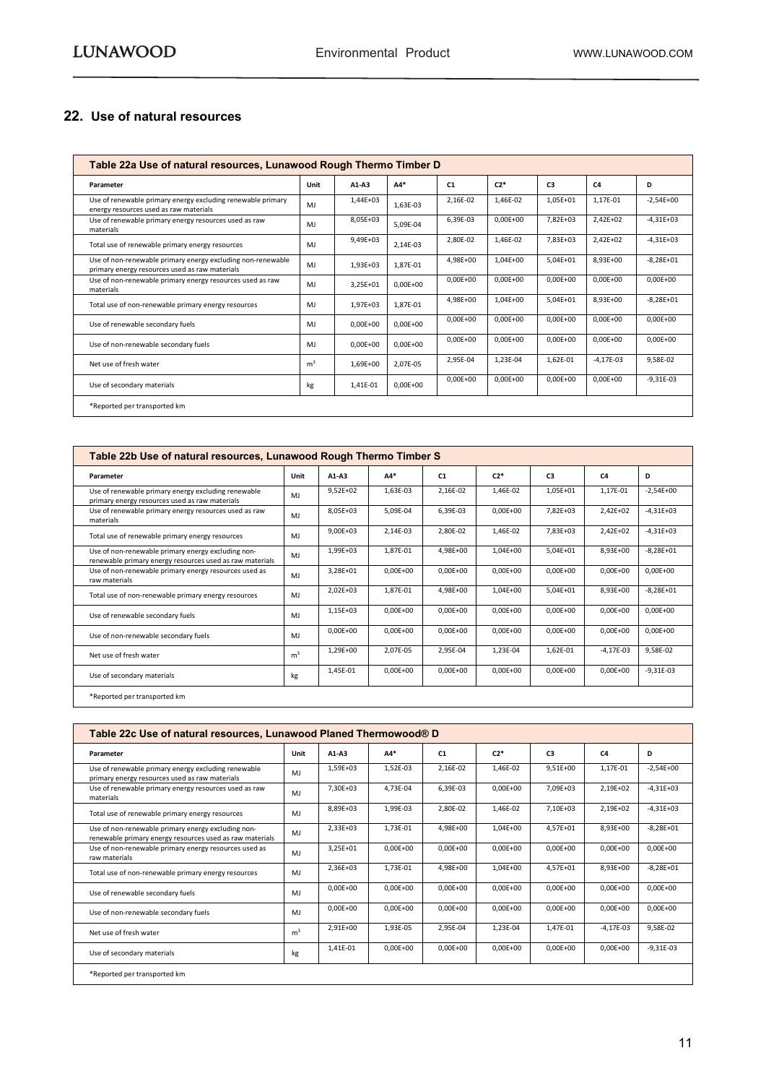#### <span id="page-10-0"></span>**22. Use of natural resources**

|                                                                                                               | Table 22a Use of natural resources, Lunawood Rough Thermo Timber D |              |              |                |              |                |                |               |  |  |  |  |
|---------------------------------------------------------------------------------------------------------------|--------------------------------------------------------------------|--------------|--------------|----------------|--------------|----------------|----------------|---------------|--|--|--|--|
| Parameter                                                                                                     | Unit                                                               | $A1-A3$      | $AA*$        | C <sub>1</sub> | $C2*$        | C <sub>3</sub> | C <sub>4</sub> | D             |  |  |  |  |
| Use of renewable primary energy excluding renewable primary<br>energy resources used as raw materials         | MI                                                                 | 1,44E+03     | 1.63E-03     | 2,16E-02       | 1,46E-02     | 1,05E+01       | 1,17E-01       | $-2,54E+00$   |  |  |  |  |
| Use of renewable primary energy resources used as raw<br>materials                                            | MI                                                                 | 8,05E+03     | 5.09E-04     | 6,39E-03       | $0,00E+00$   | 7,82E+03       | 2,42E+02       | $-4,31E+03$   |  |  |  |  |
| Total use of renewable primary energy resources                                                               | MJ                                                                 | $9,49E+03$   | 2.14E-03     | 2,80E-02       | 1,46E-02     | 7.83E+03       | 2,42E+02       | $-4,31E+03$   |  |  |  |  |
| Use of non-renewable primary energy excluding non-renewable<br>primary energy resources used as raw materials | MJ                                                                 | 1,93E+03     | 1,87E-01     | 4.98E+00       | 1,04E+00     | $5.04E + 01$   | 8,93E+00       | $-8.28E + 01$ |  |  |  |  |
| Use of non-renewable primary energy resources used as raw<br>materials                                        | MJ                                                                 | 3,25E+01     | $0.00E + 00$ | $0.00E + 00$   | $0.00E + 00$ | $0.00E + 00$   | $0.00E + 00$   | $0.00E + 00$  |  |  |  |  |
| Total use of non-renewable primary energy resources                                                           | MJ                                                                 | 1,97E+03     | 1,87E-01     | 4.98E+00       | 1,04E+00     | $5,04E+01$     | 8,93E+00       | $-8,28E+01$   |  |  |  |  |
| Use of renewable secondary fuels                                                                              | MI                                                                 | $0,00E+00$   | $0,00E+00$   | $0,00E+00$     | $0,00E+00$   | $0.00E + 00$   | $0.00E + 00$   | $0,00E+00$    |  |  |  |  |
| Use of non-renewable secondary fuels                                                                          | MJ                                                                 | $0.00E + 00$ | $0.00E + 00$ | $0,00E+00$     | $0,00E+00$   | $0,00E+00$     | $0,00E+00$     | $0,00E+00$    |  |  |  |  |
| Net use of fresh water                                                                                        | m <sup>3</sup>                                                     | 1.69E+00     | 2.07E-05     | 2,95E-04       | 1,23E-04     | 1,62E-01       | $-4,17E-03$    | 9,58E-02      |  |  |  |  |
| Use of secondary materials                                                                                    | kg                                                                 | 1,41E-01     | $0.00E + 00$ | $0,00E+00$     | $0,00E+00$   | $0,00E+00$     | $0,00E+00$     | $-9,31E-03$   |  |  |  |  |
| *Reported per transported km                                                                                  |                                                                    |              |              |                |              |                |                |               |  |  |  |  |

| Table 22b Use of natural resources, Lunawood Rough Thermo Timber S                                             |                |              |              |              |              |              |              |              |  |  |
|----------------------------------------------------------------------------------------------------------------|----------------|--------------|--------------|--------------|--------------|--------------|--------------|--------------|--|--|
| Parameter                                                                                                      | Unit           | $A1-A3$      | $AA*$        | C1           | $C2*$        | C3           | C4           | D            |  |  |
| Use of renewable primary energy excluding renewable<br>primary energy resources used as raw materials          | M.             | $9.52E + 02$ | 1,63E-03     | 2,16E-02     | 1.46E-02     | 1,05E+01     | 1,17E-01     | $-2,54E+00$  |  |  |
| Use of renewable primary energy resources used as raw<br>materials                                             | M.             | 8.05E+03     | 5.09E-04     | 6.39E-03     | $0,00E+00$   | 7.82E+03     | $2.42E + 02$ | $-4.31E+03$  |  |  |
| Total use of renewable primary energy resources                                                                | M.             | $9.00E + 03$ | 2,14E-03     | 2,80E-02     | 1.46E-02     | 7.83E+03     | 2,42E+02     | $-4,31E+03$  |  |  |
| Use of non-renewable primary energy excluding non-<br>renewable primary energy resources used as raw materials | M.             | 1,99E+03     | 1,87E-01     | 4.98E+00     | 1,04E+00     | 5,04E+01     | 8.93E+00     | $-8,28E+01$  |  |  |
| Use of non-renewable primary energy resources used as<br>raw materials                                         | M.             | 3.28E+01     | $0.00E + 00$ | $0.00E + 00$ | $0,00E+00$   | $0,00E+00$   | $0.00E + 00$ | $0,00E+00$   |  |  |
| Total use of non-renewable primary energy resources                                                            | M.             | $2,02E+03$   | 1,87E-01     | 4,98E+00     | 1,04E+00     | 5,04E+01     | 8,93E+00     | $-8,28E+01$  |  |  |
| Use of renewable secondary fuels                                                                               | M.             | 1,15E+03     | $0.00E + 00$ | $0.00E + 00$ | $0,00E+00$   | $0.00E + 00$ | $0.00E + 00$ | $0,00E+00$   |  |  |
| Use of non-renewable secondary fuels                                                                           | M.             | $0.00E + 00$ | $0.00E + 00$ | $0.00E + 00$ | $0.00E + 00$ | $0.00E + 00$ | $0.00E + 00$ | $0.00E + 00$ |  |  |
| Net use of fresh water                                                                                         | m <sup>3</sup> | 1,29E+00     | 2,07E-05     | 2,95E-04     | 1,23E-04     | 1,62E-01     | $-4,17E-03$  | 9,58E-02     |  |  |
| Use of secondary materials                                                                                     | kg             | 1.45E-01     | $0,00E+00$   | $0.00E + 00$ | $0,00E+00$   | $0,00E+00$   | $0,00E+00$   | $-9,31E-03$  |  |  |
| *Reported per transported km                                                                                   |                |              |              |              |              |              |              |              |  |  |

| Table 22c Use of natural resources, Lunawood Planed Thermowood® D                                              |                |              |              |              |              |              |              |               |  |  |
|----------------------------------------------------------------------------------------------------------------|----------------|--------------|--------------|--------------|--------------|--------------|--------------|---------------|--|--|
| Parameter                                                                                                      | Unit           | $A1-A3$      | A4*          | C1           | $C2*$        | C3           | C4           | D             |  |  |
| Use of renewable primary energy excluding renewable<br>primary energy resources used as raw materials          | MJ             | 1.59E+03     | 1,52E-03     | 2.16E-02     | 1.46E-02     | $9.51E + 00$ | 1.17E-01     | $-2.54E+00$   |  |  |
| Use of renewable primary energy resources used as raw<br>materials                                             | MI             | 7.30E+03     | 4.73E-04     | 6.39E-03     | $0.00E + 00$ | 7.09E+03     | 2.19E+02     | $-4.31E+03$   |  |  |
| Total use of renewable primary energy resources                                                                | MJ             | 8.89E+03     | 1,99E-03     | 2.80E-02     | 1.46E-02     | 7.10E+03     | 2,19E+02     | $-4,31E+03$   |  |  |
| Use of non-renewable primary energy excluding non-<br>renewable primary energy resources used as raw materials | MI             | $2.33E + 03$ | 1.73E-01     | 4.98E+00     | $1.04E + 00$ | 4.57E+01     | 8.93E+00     | $-8.28E + 01$ |  |  |
| Use of non-renewable primary energy resources used as<br>raw materials                                         | MJ             | 3,25E+01     | $0,00E+00$   | $0.00E + 00$ | $0,00E+00$   | $0,00E+00$   | $0,00E+00$   | $0,00E+00$    |  |  |
| Total use of non-renewable primary energy resources                                                            | MJ             | 2,36E+03     | 1,73E-01     | 4.98E+00     | 1,04E+00     | 4,57E+01     | 8,93E+00     | $-8,28E+01$   |  |  |
| Use of renewable secondary fuels                                                                               | MI             | $0.00E + 00$ | $0.00E + 00$ | $0.00E + 00$ | $0.00E + 00$ | $0.00E + 00$ | $0.00E + 00$ | $0.00E + 00$  |  |  |
| Use of non-renewable secondary fuels                                                                           | MJ             | $0.00E + 00$ | $0.00E + 00$ | $0.00E + 00$ | $0.00E + 00$ | $0.00E + 00$ | $0.00E + 00$ | $0.00E + 00$  |  |  |
| Net use of fresh water                                                                                         | m <sup>3</sup> | $2.91E+00$   | 1,93E-05     | 2,95E-04     | 1,23E-04     | 1.47E-01     | $-4,17E-03$  | 9,58E-02      |  |  |
| Use of secondary materials                                                                                     | kg             | 1,41E-01     | $0,00E+00$   | $0.00E + 00$ | $0,00E+00$   | $0.00E + 00$ | $0.00E + 00$ | $-9,31E-03$   |  |  |
| *Reported per transported km                                                                                   |                |              |              |              |              |              |              |               |  |  |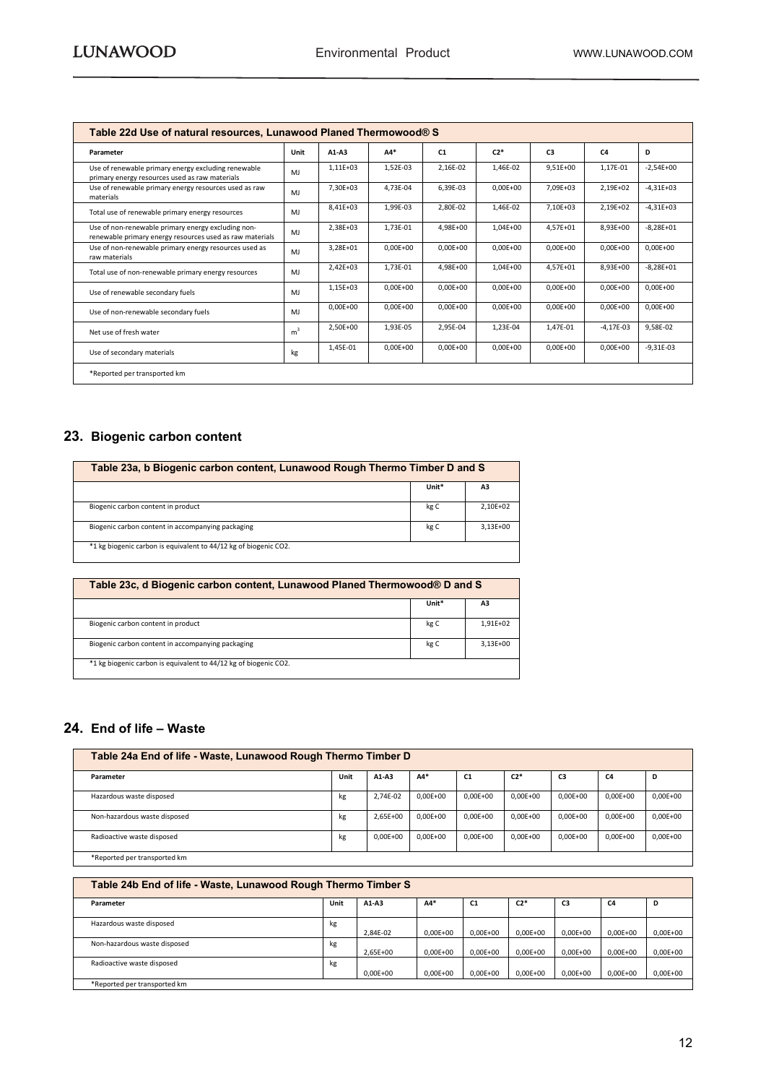| Table 22d Use of natural resources, Lunawood Planed Thermowood® S                                              |                |              |              |              |              |                |              |               |  |  |  |
|----------------------------------------------------------------------------------------------------------------|----------------|--------------|--------------|--------------|--------------|----------------|--------------|---------------|--|--|--|
| Parameter                                                                                                      | Unit           | $A1-A3$      | $AA*$        | C1           | $C2*$        | C <sub>3</sub> | C4           | D             |  |  |  |
| Use of renewable primary energy excluding renewable<br>primary energy resources used as raw materials          | M.             | 1,11E+03     | 1,52E-03     | 2,16E-02     | 1,46E-02     | 9,51E+00       | 1,17E-01     | $-2,54E+00$   |  |  |  |
| Use of renewable primary energy resources used as raw<br>materials                                             | M <sub>1</sub> | 7.30E+03     | 4,73E-04     | 6.39E-03     | $0.00E + 00$ | 7.09E+03       | 2,19E+02     | $-4,31E+03$   |  |  |  |
| Total use of renewable primary energy resources                                                                | MJ             | $8.41E + 03$ | 1,99E-03     | 2.80E-02     | 1.46E-02     | 7.10E+03       | 2.19E+02     | $-4.31E+03$   |  |  |  |
| Use of non-renewable primary energy excluding non-<br>renewable primary energy resources used as raw materials | M.             | 2,38E+03     | 1,73E-01     | 4.98E+00     | 1,04E+00     | 4.57E+01       | 8.93E+00     | $-8,28E+01$   |  |  |  |
| Use of non-renewable primary energy resources used as<br>raw materials                                         | M <sub>1</sub> | 3.28E+01     | $0,00E+00$   | $0.00E + 00$ | $0,00E+00$   | $0.00E + 00$   | $0.00E + 00$ | $0,00E+00$    |  |  |  |
| Total use of non-renewable primary energy resources                                                            | MJ             | $2.42E + 03$ | 1,73E-01     | 4.98E+00     | $1.04E + 00$ | 4.57E+01       | 8.93E+00     | $-8.28E + 01$ |  |  |  |
| Use of renewable secondary fuels                                                                               | M.             | $1.15E + 03$ | $0.00E + 00$ | $0.00E + 00$ | $0.00E + 00$ | $0.00E + 00$   | $0.00E + 00$ | $0.00E + 00$  |  |  |  |
| Use of non-renewable secondary fuels                                                                           | MJ             | $0,00E+00$   | $0,00E+00$   | $0,00E+00$   | $0,00E+00$   | $0,00E+00$     | $0,00E+00$   | $0,00E+00$    |  |  |  |
| Net use of fresh water                                                                                         | m <sup>3</sup> | 2,50E+00     | 1,93E-05     | 2,95E-04     | 1,23E-04     | 1,47E-01       | $-4,17E-03$  | 9,58E-02      |  |  |  |
| Use of secondary materials                                                                                     | kg             | 1,45E-01     | $0,00E+00$   | $0.00E + 00$ | $0.00E + 00$ | $0.00E + 00$   | $0.00E + 00$ | $-9,31E-03$   |  |  |  |
| *Reported per transported km                                                                                   |                |              |              |              |              |                |              |               |  |  |  |

#### <span id="page-11-0"></span>**23. Biogenic carbon content**

| Table 23a, b Biogenic carbon content, Lunawood Rough Thermo Timber D and S |       |              |  |  |  |  |  |  |  |
|----------------------------------------------------------------------------|-------|--------------|--|--|--|--|--|--|--|
|                                                                            | Unit* | A3           |  |  |  |  |  |  |  |
| Biogenic carbon content in product                                         | kg C  | 2.10E+02     |  |  |  |  |  |  |  |
| Biogenic carbon content in accompanying packaging                          | kg C  | $3.13E + 00$ |  |  |  |  |  |  |  |
| *1 kg biogenic carbon is equivalent to 44/12 kg of biogenic CO2.           |       |              |  |  |  |  |  |  |  |

| Table 23c, d Biogenic carbon content, Lunawood Planed Thermowood® D and S |       |              |  |  |  |
|---------------------------------------------------------------------------|-------|--------------|--|--|--|
|                                                                           | Unit* | A3           |  |  |  |
| Biogenic carbon content in product                                        | kg C  | 1.91E+02     |  |  |  |
| Biogenic carbon content in accompanying packaging                         | kg C  | $3.13E + 00$ |  |  |  |
| *1 kg biogenic carbon is equivalent to 44/12 kg of biogenic CO2.          |       |              |  |  |  |

#### <span id="page-11-1"></span>**24. End of life – Waste**

| Table 24a End of life - Waste, Lunawood Rough Thermo Timber D |      |              |              |              |              |                |                |              |
|---------------------------------------------------------------|------|--------------|--------------|--------------|--------------|----------------|----------------|--------------|
| Parameter                                                     | Unit | A1-A3        | A4*          | C1           | $C2*$        | C <sub>3</sub> | C <sub>4</sub> | D            |
| Hazardous waste disposed                                      | kg   | 2.74E-02     | $0.00E + 00$ | $0.00E + 00$ | $0.00E + 00$ | $0.00E + 00$   | $0.00E + 00$   | $0,00E+00$   |
| Non-hazardous waste disposed                                  | kg   | $2.65E + 00$ | $0.00E + 00$ | $0.00E + 00$ | $0.00E + 00$ | $0.00E + 00$   | $0.00E + 00$   | $0.00E + 00$ |
| Radioactive waste disposed                                    | kg   | $0.00E + 00$ | $0.00E + 00$ | $0.00E + 00$ | $0.00E + 00$ | $0.00E + 00$   | $0.00E + 00$   | $0,00E+00$   |
| *Reported per transported km                                  |      |              |              |              |              |                |                |              |

| Table 24b End of life - Waste, Lunawood Rough Thermo Timber S |      |              |              |                |              |                |              |            |
|---------------------------------------------------------------|------|--------------|--------------|----------------|--------------|----------------|--------------|------------|
| Parameter                                                     | Unit | $A1-A3$      | $A4*$        | C <sub>1</sub> | $C2*$        | C <sub>3</sub> | C4           | D          |
| Hazardous waste disposed                                      | kg   | 2.84E-02     | $0.00E + 00$ | $0.00E + 00$   | $0.00E + 00$ | $0.00E + 00$   | $0.00E + 00$ | $0,00E+00$ |
| Non-hazardous waste disposed                                  | kg   | $2.65E + 00$ | $0.00E + 00$ | $0.00E + 00$   | $0.00E + 00$ | $0.00E + 00$   | $0.00E + 00$ | $0,00E+00$ |
| Radioactive waste disposed                                    | kg   | $0.00E + 00$ | $0.00E + 00$ | $0.00E + 00$   | $0.00E + 00$ | $0.00E + 00$   | $0.00E + 00$ | $0,00E+00$ |
| *Reported per transported km                                  |      |              |              |                |              |                |              |            |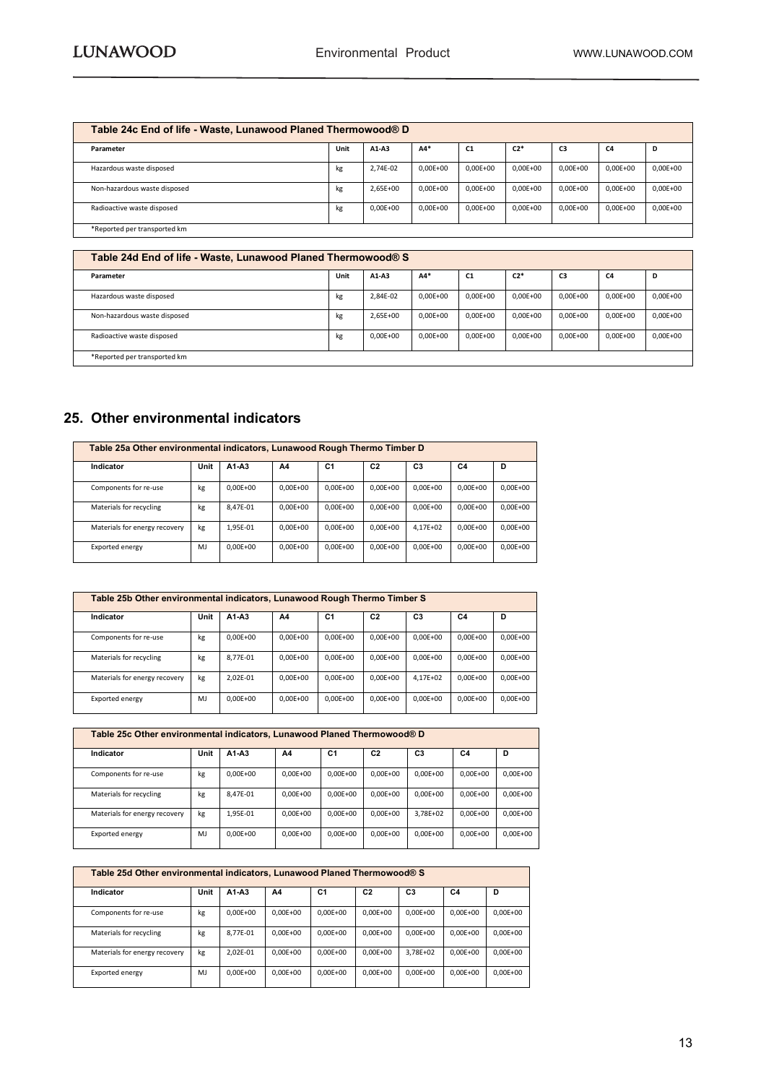| Table 24c End of life - Waste, Lunawood Planed Thermowood® D |      |              |              |              |              |              |              |            |
|--------------------------------------------------------------|------|--------------|--------------|--------------|--------------|--------------|--------------|------------|
| Parameter                                                    | Unit | A1-A3        | $A4*$        | <b>C1</b>    | $C2*$        | C3           | C4           | D          |
| Hazardous waste disposed                                     | kg   | 2,74E-02     | $0.00E + 00$ | $0,00E+00$   | $0.00E + 00$ | $0.00E + 00$ | $0.00E + 00$ | $0,00E+00$ |
| Non-hazardous waste disposed                                 | kg   | $2.65E + 00$ | $0.00E + 00$ | $0.00E + 00$ | $0.00E + 00$ | $0.00E + 00$ | $0.00E + 00$ | $0,00E+00$ |
| Radioactive waste disposed                                   | kg   | $0.00E + 00$ | $0.00E + 00$ | $0,00E+00$   | $0.00E + 00$ | $0.00E + 00$ | $0.00E + 00$ | $0,00E+00$ |
| *Reported per transported km                                 |      |              |              |              |              |              |              |            |

| Table 24d End of life - Waste, Lunawood Planed Thermowood® S |      |              |              |              |              |                |                |            |
|--------------------------------------------------------------|------|--------------|--------------|--------------|--------------|----------------|----------------|------------|
| Parameter                                                    | Unit | $A1-A3$      | $A4*$        | <b>C1</b>    | $C2*$        | C <sub>3</sub> | C <sub>4</sub> | D          |
| Hazardous waste disposed                                     | kg   | 2,84E-02     | $0.00E + 00$ | $0.00E + 00$ | $0.00E + 00$ | $0.00E + 00$   | $0.00E + 00$   | $0,00E+00$ |
| Non-hazardous waste disposed                                 | kg   | $2.65E + 00$ | $0.00E + 00$ | $0.00E + 00$ | $0.00E + 00$ | $0.00E + 00$   | $0.00E + 00$   | $0,00E+00$ |
| Radioactive waste disposed                                   | kg   | $0.00E + 00$ | $0.00E + 00$ | $0.00E + 00$ | $0.00E + 00$ | $0.00E + 00$   | $0.00E + 00$   | $0,00E+00$ |
| *Reported per transported km                                 |      |              |              |              |              |                |                |            |

#### <span id="page-12-0"></span>**25. Other environmental indicators**

| Table 25a Other environmental indicators, Lunawood Rough Thermo Timber D |      |              |              |                |                |                |              |              |
|--------------------------------------------------------------------------|------|--------------|--------------|----------------|----------------|----------------|--------------|--------------|
| Indicator                                                                | Unit | $A1 - A3$    | A4           | C <sub>1</sub> | C <sub>2</sub> | C <sub>3</sub> | C4           | D            |
| Components for re-use                                                    | kg   | $0.00E + 00$ | $0.00E + 00$ | $0.00E + 00$   | $0.00E + 00$   | $0.00E + 00$   | $0.00E + 00$ | $0.00E + 00$ |
| Materials for recycling                                                  | kg   | 8.47E-01     | $0.00E + 00$ | $0.00E + 00$   | $0.00E + 00$   | $0.00E + 00$   | $0.00E + 00$ | $0.00E + 00$ |
| Materials for energy recovery                                            | kg   | 1.95E-01     | $0.00E + 00$ | $0.00E + 00$   | $0.00E + 00$   | 4.17E+02       | $0.00E + 00$ | $0.00E + 00$ |
| Exported energy                                                          | MI   | $0.00E + 00$ | $0.00E + 00$ | $0.00E + 00$   | $0.00E + 00$   | $0.00E + 00$   | $0.00E + 00$ | $0.00E + 00$ |

|                               | Table 25b Other environmental indicators, Lunawood Rough Thermo Timber S |                                |              |                |                |                |                |              |  |
|-------------------------------|--------------------------------------------------------------------------|--------------------------------|--------------|----------------|----------------|----------------|----------------|--------------|--|
| Indicator                     | Unit                                                                     | A <sub>1</sub> -A <sub>3</sub> | A4           | C <sub>1</sub> | C <sub>2</sub> | C <sub>3</sub> | C <sub>4</sub> | D            |  |
| Components for re-use         | kg                                                                       | $0.00E + 00$                   | $0.00E + 00$ | $0.00E + 00$   | $0.00E + 00$   | $0.00E + 00$   | $0.00E + 00$   | $0.00E + 00$ |  |
| Materials for recycling       | kg                                                                       | 8.77E-01                       | $0.00E + 00$ | $0.00E + 00$   | $0.00E + 00$   | $0.00E + 00$   | $0.00E + 00$   | $0.00E + 00$ |  |
| Materials for energy recovery | kg                                                                       | 2.02E-01                       | $0.00E + 00$ | $0.00E + 00$   | $0.00E + 00$   | $4.17E + 02$   | $0.00E + 00$   | $0.00E + 00$ |  |
| Exported energy               | M.                                                                       | $0.00E + 00$                   | $0.00E + 00$ | $0.00E + 00$   | $0.00E + 00$   | $0.00E + 00$   | $0.00E + 00$   | $0.00E + 00$ |  |

| Table 25c Other environmental indicators, Lunawood Planed Thermowood® D |      |              |              |                |                |                |              |              |
|-------------------------------------------------------------------------|------|--------------|--------------|----------------|----------------|----------------|--------------|--------------|
| Indicator                                                               | Unit | A1-A3        | A4           | C <sub>1</sub> | C <sub>2</sub> | C <sub>3</sub> | C4           | D            |
| Components for re-use                                                   | kg   | $0.00E + 00$ | $0.00E + 00$ | $0.00E + 00$   | $0.00E + 00$   | $0.00E + 00$   | $0.00E + 00$ | $0.00E + 00$ |
| Materials for recycling                                                 | kg   | 8.47E-01     | $0.00E + 00$ | $0.00E + 00$   | $0.00E + 00$   | $0.00E + 00$   | $0.00E + 00$ | $0.00E + 00$ |
| Materials for energy recovery                                           | kg   | 1.95E-01     | $0.00E + 00$ | $0.00E + 00$   | $0.00E + 00$   | 3.78E+02       | $0.00E + 00$ | $0.00E + 00$ |
| Exported energy                                                         | M.   | $0.00E + 00$ | $0.00E + 00$ | $0.00E + 00$   | $0.00E + 00$   | $0.00E + 00$   | $0.00E + 00$ | $0.00E + 00$ |

| Table 25d Other environmental indicators, Lunawood Planed Thermowood® S |      |              |              |                |                |                |              |              |
|-------------------------------------------------------------------------|------|--------------|--------------|----------------|----------------|----------------|--------------|--------------|
| Indicator                                                               | Unit | A1-A3        | A4           | C <sub>1</sub> | C <sub>2</sub> | C <sub>3</sub> | C4           | D            |
| Components for re-use                                                   | kg   | $0.00E + 00$ | $0.00E + 00$ | $0.00E + 00$   | $0.00E + 00$   | $0.00E + 00$   | $0.00E + 00$ | $0.00E + 00$ |
| Materials for recycling                                                 | kg   | 8,77E-01     | $0.00E + 00$ | $0.00E + 00$   | $0.00E + 00$   | $0.00E + 00$   | $0.00E + 00$ | $0.00E + 00$ |
| Materials for energy recovery                                           | kg   | 2.02E-01     | $0.00E + 00$ | $0.00E + 00$   | $0.00E + 00$   | 3.78E+02       | $0.00E + 00$ | $0.00E + 00$ |
| Exported energy                                                         | MI   | $0.00E + 00$ | $0.00E + 00$ | $0.00E + 00$   | $0.00E + 00$   | $0.00E + 00$   | $0.00E + 00$ | $0.00E + 00$ |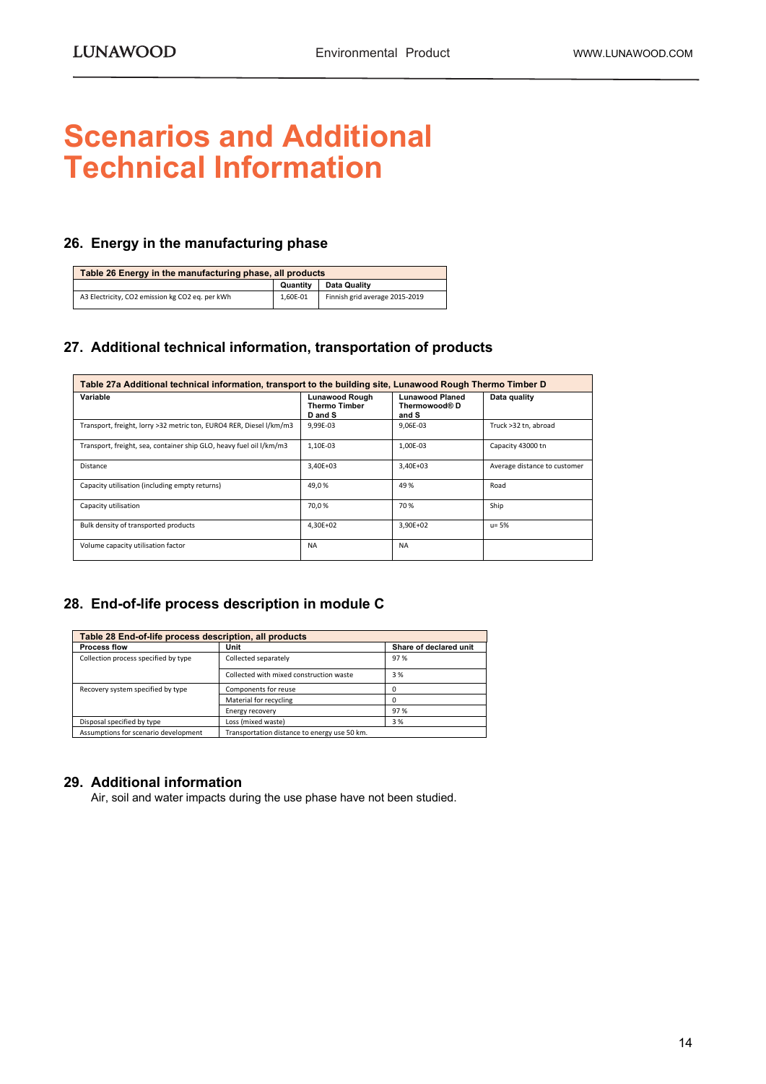### <span id="page-13-0"></span>**Scenarios and Additional Technical Information**

#### <span id="page-13-1"></span>**26. Energy in the manufacturing phase**

| Table 26 Energy in the manufacturing phase, all products |          |                                |  |  |  |  |  |
|----------------------------------------------------------|----------|--------------------------------|--|--|--|--|--|
|                                                          | Quantity | Data Quality                   |  |  |  |  |  |
| A3 Electricity, CO2 emission kg CO2 eq. per kWh          | 1.60E-01 | Finnish grid average 2015-2019 |  |  |  |  |  |

#### <span id="page-13-2"></span>**27. Additional technical information, transportation of products**

| Table 27a Additional technical information, transport to the building site, Lunawood Rough Thermo Timber D |                                                          |                                                  |                              |  |  |  |  |
|------------------------------------------------------------------------------------------------------------|----------------------------------------------------------|--------------------------------------------------|------------------------------|--|--|--|--|
| Variable                                                                                                   | <b>Lunawood Rough</b><br><b>Thermo Timber</b><br>D and S | <b>Lunawood Planed</b><br>Thermowood® D<br>and S | Data quality                 |  |  |  |  |
| Transport, freight, lorry >32 metric ton, EURO4 RER, Diesel I/km/m3                                        | 9,99E-03                                                 | 9.06E-03                                         | Truck >32 tn, abroad         |  |  |  |  |
| Transport, freight, sea, container ship GLO, heavy fuel oil I/km/m3                                        | 1.10E-03                                                 | 1.00E-03                                         | Capacity 43000 tn            |  |  |  |  |
| Distance                                                                                                   | $3.40E + 03$                                             | $3.40E + 03$                                     | Average distance to customer |  |  |  |  |
| Capacity utilisation (including empty returns)                                                             | 49,0%                                                    | 49%                                              | Road                         |  |  |  |  |
| Capacity utilisation                                                                                       | 70,0%                                                    | 70%                                              | Ship                         |  |  |  |  |
| Bulk density of transported products                                                                       | 4.30E+02                                                 | 3.90E+02                                         | $u = 5%$                     |  |  |  |  |
| Volume capacity utilisation factor                                                                         | <b>NA</b>                                                | <b>NA</b>                                        |                              |  |  |  |  |

#### <span id="page-13-3"></span>**28. End-of-life process description in module C**

| Table 28 End-of-life process description, all products |                                              |                        |  |  |  |  |  |
|--------------------------------------------------------|----------------------------------------------|------------------------|--|--|--|--|--|
| <b>Process flow</b>                                    | Unit                                         | Share of declared unit |  |  |  |  |  |
| Collection process specified by type                   | Collected separately                         | 97%                    |  |  |  |  |  |
|                                                        | Collected with mixed construction waste      | 3 %                    |  |  |  |  |  |
| Recovery system specified by type                      | Components for reuse                         | Ω                      |  |  |  |  |  |
|                                                        | Material for recycling                       |                        |  |  |  |  |  |
|                                                        | Energy recovery                              | 97%                    |  |  |  |  |  |
| Disposal specified by type                             | Loss (mixed waste)                           | 3%                     |  |  |  |  |  |
| Assumptions for scenario development                   | Transportation distance to energy use 50 km. |                        |  |  |  |  |  |

#### <span id="page-13-4"></span>**29. Additional information**

Air, soil and water impacts during the use phase have not been studied.